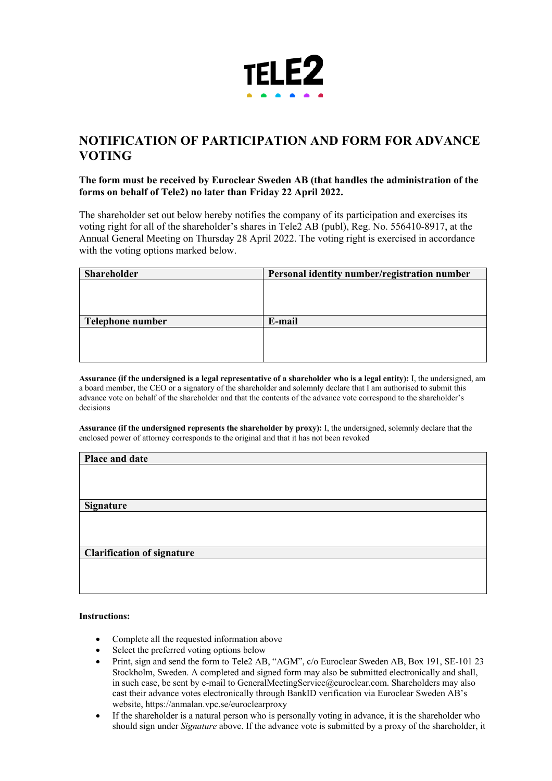

## **NOTIFICATION OF PARTICIPATION AND FORM FOR ADVANCE VOTING**

## **The form must be received by Euroclear Sweden AB (that handles the administration of the forms on behalf of Tele2) no later than Friday 22 April 2022.**

The shareholder set out below hereby notifies the company of its participation and exercises its voting right for all of the shareholder's shares in Tele2 AB (publ), Reg. No. 556410-8917, at the Annual General Meeting on Thursday 28 April 2022. The voting right is exercised in accordance with the voting options marked below.

| <b>Shareholder</b> | Personal identity number/registration number |
|--------------------|----------------------------------------------|
|                    |                                              |
|                    |                                              |
|                    |                                              |
| Telephone number   | E-mail                                       |
|                    |                                              |
|                    |                                              |
|                    |                                              |

**Assurance (if the undersigned is a legal representative of a shareholder who is a legal entity):** I, the undersigned, am a board member, the CEO or a signatory of the shareholder and solemnly declare that I am authorised to submit this advance vote on behalf of the shareholder and that the contents of the advance vote correspond to the shareholder's decisions

**Assurance (if the undersigned represents the shareholder by proxy):** I, the undersigned, solemnly declare that the enclosed power of attorney corresponds to the original and that it has not been revoked

| Place and date                    |  |
|-----------------------------------|--|
|                                   |  |
|                                   |  |
| <b>Signature</b>                  |  |
|                                   |  |
|                                   |  |
|                                   |  |
| <b>Clarification of signature</b> |  |
|                                   |  |
|                                   |  |

## **Instructions:**

- Complete all the requested information above
- Select the preferred voting options below
- Print, sign and send the form to Tele2 AB, "AGM", c/o Euroclear Sweden AB, Box 191, SE-101 23 Stockholm, Sweden. A completed and signed form may also be submitted electronically and shall, in such case, be sent by e-mail to GeneralMeetingService@euroclear.com. Shareholders may also cast their advance votes electronically through BankID verification via Euroclear Sweden AB's website, https://anmalan.vpc.se/euroclearproxy
- If the shareholder is a natural person who is personally voting in advance, it is the shareholder who should sign under *Signature* above. If the advance vote is submitted by a proxy of the shareholder, it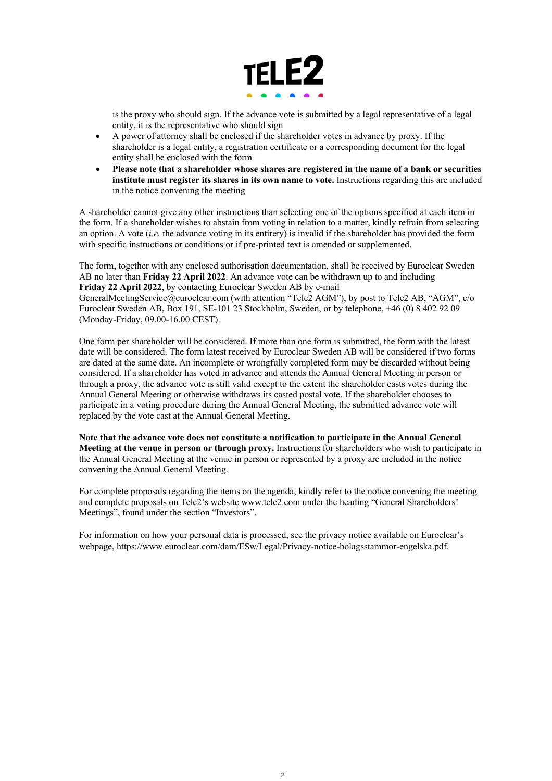

is the proxy who should sign. If the advance vote is submitted by a legal representative of a legal entity, it is the representative who should sign

- A power of attorney shall be enclosed if the shareholder votes in advance by proxy. If the shareholder is a legal entity, a registration certificate or a corresponding document for the legal entity shall be enclosed with the form
- **Please note that a shareholder whose shares are registered in the name of a bank or securities institute must register its shares in its own name to vote.** Instructions regarding this are included in the notice convening the meeting

A shareholder cannot give any other instructions than selecting one of the options specified at each item in the form. If a shareholder wishes to abstain from voting in relation to a matter, kindly refrain from selecting an option. A vote (*i.e.* the advance voting in its entirety) is invalid if the shareholder has provided the form with specific instructions or conditions or if pre-printed text is amended or supplemented.

The form, together with any enclosed authorisation documentation, shall be received by Euroclear Sweden AB no later than **Friday 22 April 2022**. An advance vote can be withdrawn up to and including **Friday 22 April 2022**, by contacting Euroclear Sweden AB by e-mail GeneralMeetingService@euroclear.com (with attention "Tele2 AGM"), by post to Tele2 AB, "AGM", c/o Euroclear Sweden AB, Box 191, SE-101 23 Stockholm, Sweden, or by telephone, +46 (0) 8 402 92 09 (Monday-Friday, 09.00-16.00 CEST).

One form per shareholder will be considered. If more than one form is submitted, the form with the latest date will be considered. The form latest received by Euroclear Sweden AB will be considered if two forms are dated at the same date. An incomplete or wrongfully completed form may be discarded without being considered. If a shareholder has voted in advance and attends the Annual General Meeting in person or through a proxy, the advance vote is still valid except to the extent the shareholder casts votes during the Annual General Meeting or otherwise withdraws its casted postal vote. If the shareholder chooses to participate in a voting procedure during the Annual General Meeting, the submitted advance vote will replaced by the vote cast at the Annual General Meeting.

**Note that the advance vote does not constitute a notification to participate in the Annual General Meeting at the venue in person or through proxy.** Instructions for shareholders who wish to participate in the Annual General Meeting at the venue in person or represented by a proxy are included in the notice convening the Annual General Meeting.

For complete proposals regarding the items on the agenda, kindly refer to the notice convening the meeting and complete proposals on Tele2's website www.tele2.com under the heading "General Shareholders' Meetings", found under the section "Investors".

For information on how your personal data is processed, see the privacy notice available on Euroclear's webpage, https://www.euroclear.com/dam/ESw/Legal/Privacy-notice-bolagsstammor-engelska.pdf.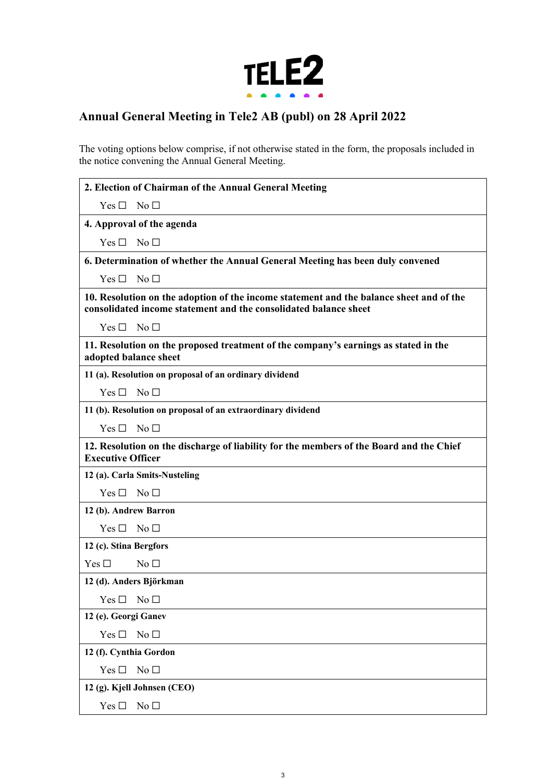

## **Annual General Meeting in Tele2 AB (publ) on 28 April 2022**

The voting options below comprise, if not otherwise stated in the form, the proposals included in the notice convening the Annual General Meeting.

| 2. Election of Chairman of the Annual General Meeting                                                                                                       |
|-------------------------------------------------------------------------------------------------------------------------------------------------------------|
| No <sub>1</sub><br>Yes $\Box$                                                                                                                               |
| 4. Approval of the agenda                                                                                                                                   |
| No $\square$<br>Yes $\Box$                                                                                                                                  |
| 6. Determination of whether the Annual General Meeting has been duly convened                                                                               |
| No <sub>1</sub><br>Yes $\Box$                                                                                                                               |
| 10. Resolution on the adoption of the income statement and the balance sheet and of the<br>consolidated income statement and the consolidated balance sheet |
| $Yes \Box$<br>No <sub>1</sub>                                                                                                                               |
| 11. Resolution on the proposed treatment of the company's earnings as stated in the<br>adopted balance sheet                                                |
| 11 (a). Resolution on proposal of an ordinary dividend                                                                                                      |
| Yes $\Box$<br>No <sub>1</sub>                                                                                                                               |
| 11 (b). Resolution on proposal of an extraordinary dividend                                                                                                 |
| $Yes \Box$<br>$\mathrm{No}\ \Box$                                                                                                                           |
| 12. Resolution on the discharge of liability for the members of the Board and the Chief<br><b>Executive Officer</b>                                         |
| 12 (a). Carla Smits-Nusteling                                                                                                                               |
| Yes $\square$<br>$\mathrm{No}\ \Box$                                                                                                                        |
| 12 (b). Andrew Barron                                                                                                                                       |
| No <sub>1</sub><br>$Yes \Box$                                                                                                                               |
| 12 (c). Stina Bergfors                                                                                                                                      |
| Yes $\square$<br>No <sub>1</sub>                                                                                                                            |
| 12 (d). Anders Björkman                                                                                                                                     |
| Yes $\square$<br>No <sub>1</sub>                                                                                                                            |
| 12 (e). Georgi Ganev                                                                                                                                        |
| No $\Box$<br>Yes $\square$                                                                                                                                  |
| 12 (f). Cynthia Gordon                                                                                                                                      |
| No $\square$<br>Yes $\square$                                                                                                                               |
| 12 (g). Kjell Johnsen (CEO)                                                                                                                                 |
| Yes $\square$<br>No <sub>1</sub>                                                                                                                            |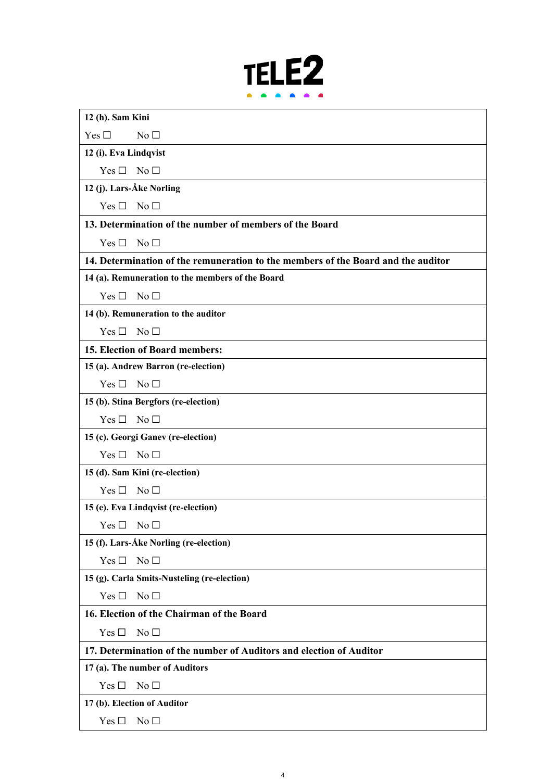

| 12 (h). Sam Kini                                                                  |  |
|-----------------------------------------------------------------------------------|--|
| Yes $\square$<br>No <sub>1</sub>                                                  |  |
| 12 (i). Eva Lindqvist                                                             |  |
| Yes $\square$<br>No <sub>1</sub>                                                  |  |
| 12 (j). Lars-Åke Norling                                                          |  |
| Yes $\Box$<br>No $\Box$                                                           |  |
| 13. Determination of the number of members of the Board                           |  |
| Yes $\square$<br>No <sub>1</sub>                                                  |  |
| 14. Determination of the remuneration to the members of the Board and the auditor |  |
| 14 (a). Remuneration to the members of the Board                                  |  |
| Yes $\square$<br>No <sub>1</sub>                                                  |  |
| 14 (b). Remuneration to the auditor                                               |  |
| No $\Box$<br>Yes $\Box$                                                           |  |
| 15. Election of Board members:                                                    |  |
| 15 (a). Andrew Barron (re-election)                                               |  |
| Yes $\Box$<br>No <sub>1</sub>                                                     |  |
| 15 (b). Stina Bergfors (re-election)                                              |  |
| No $\square$<br>Yes $\square$                                                     |  |
| 15 (c). Georgi Ganev (re-election)                                                |  |
| No <sub>1</sub><br>Yes $\Box$                                                     |  |
| 15 (d). Sam Kini (re-election)                                                    |  |
| $\rm No \ \square$<br>Yes $\square$                                               |  |
| 15 (e). Eva Lindqvist (re-election)                                               |  |
| $Yes \Box No \Box$                                                                |  |
| 15 (f). Lars-Åke Norling (re-election)                                            |  |
| No <sub>1</sub><br>Yes $\Box$                                                     |  |
| 15 (g). Carla Smits-Nusteling (re-election)                                       |  |
| Yes $\square$<br>No <sub>1</sub>                                                  |  |
| 16. Election of the Chairman of the Board                                         |  |
| Yes $\Box$<br>No <sub>1</sub>                                                     |  |
| 17. Determination of the number of Auditors and election of Auditor               |  |
| 17 (a). The number of Auditors                                                    |  |
| No <sub>1</sub><br>Yes $\Box$                                                     |  |
| 17 (b). Election of Auditor                                                       |  |

Yes □ No □